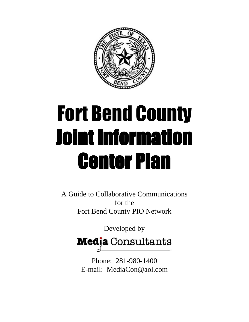

# Fort Bend County Joint Information Center Plan

A Guide to Collaborative Communications for the Fort Bend County PIO Network

Developed by

**Media** Consultants

Phone: 281-980-1400 E-mail: MediaCon@aol.com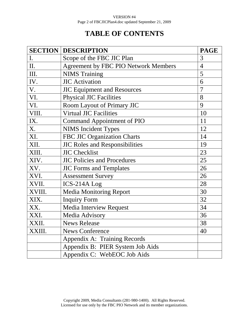#### VERSION #4 Page 2 of FBCJICPlan4.doc updated September 21, 2009

# **TABLE OF CONTENTS**

|        | <b>SECTION DESCRIPTION</b>                  | <b>PAGE</b>    |
|--------|---------------------------------------------|----------------|
| I.     | Scope of the FBC JIC Plan                   | 3              |
| II.    | <b>Agreement by FBC PIO Network Members</b> | $\overline{4}$ |
| III.   | <b>NIMS</b> Training                        | 5              |
| IV.    | <b>JIC</b> Activation                       | 6              |
| V.     | <b>JIC Equipment and Resources</b>          | $\overline{7}$ |
| VI.    | <b>Physical JIC Facilities</b>              | 8              |
| VI.    | Room Layout of Primary JIC                  | 9              |
| VIII.  | <b>Virtual JIC Facilities</b>               | 10             |
| IX.    | Command Appointment of PIO                  | 11             |
| X.     | <b>NIMS</b> Incident Types                  | 12             |
| XI.    | FBC JIC Organization Charts                 | 14             |
| XII.   | <b>JIC Roles and Responsibilities</b>       | 19             |
| XIII.  | <b>JIC Checklist</b>                        | 23             |
| XIV.   | <b>JIC Policies and Procedures</b>          | 25             |
| XV.    | <b>JIC Forms and Templates</b>              | 26             |
| XVI.   | <b>Assessment Survey</b>                    | 26             |
| XVII.  | ICS-214A Log                                | 28             |
| XVIII. | <b>Media Monitoring Report</b>              | 30             |
| XIX.   | <b>Inquiry Form</b>                         | 32             |
| XX.    | <b>Media Interview Request</b>              | 34             |
| XXI.   | Media Advisory                              | 36             |
| XXII.  | <b>News Release</b>                         | 38             |
| XXIII. | <b>News Conference</b>                      | 40             |
|        | Appendix A: Training Records                |                |
|        | Appendix B: PIER System Job Aids            |                |
|        | Appendix C: WebEOC Job Aids                 |                |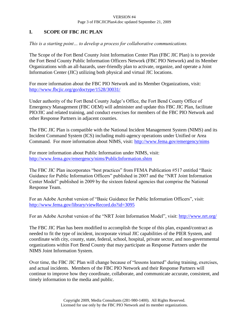#### VERSION #4 Page 3 of FBCJICPlan4.doc updated September 21, 2009

## **I. SCOPE OF FBC JIC PLAN**

*This is a starting point… to develop a process for collaborative communications.*

The Scope of the Fort Bend County Joint Information Center Plan (FBC JIC Plan) is to provide the Fort Bend County Public Information Officers Network (FBC PIO Network) and its Member Organizations with an all-hazards, user-friendly plan to activate, organize, and operate a Joint Information Center (JIC) utilizing both physical and virtual JIC locations.

For more information about the FBC PIO Network and its Member Organizations, visit: [http://www.fbcjic.org/go/doctype/1528/30031/](http://www.fbcoem.org/go/doctype/1528/30031/)

Under authority of the Fort Bend County Judge's Office, the Fort Bend County Office of Emergency Management (FBC OEM) will administer and update this FBC JIC Plan, facilitate PIO/JIC and related training, and conduct exercises for members of the FBC PIO Network and other Response Partners in adjacent counties.

The FBC JIC Plan is compatible with the National Incident Management System (NIMS) and its Incident Command System (ICS) including multi-agency operations under Unified or Area Command. For more information about NIMS, visit: http://www.fema.gov/emergency/nims

For more information about Public Information under NIMS, visit: <http://www.fema.gov/emergency/nims/PublicInformation.shtm>

The FBC JIC Plan incorporates "best practices" from FEMA Publication #517 entitled "Basic Guidance for Public Information Officers" published in 2007 and the "NRT Joint Information Center Model" published in 2009 by the sixteen federal agencies that comprise the National Response Team.

For an Adobe Acrobat version of "Basic Guidance for Public Information Officers", visit: <http://www.fema.gov/library/viewRecord.do?id=3095>

For an Adobe Acrobat version of the "NRT Joint Information Model", visit:<http://www.nrt.org/>

The FBC JIC Plan has been modified to accomplish the Scope of this plan, expand/contract as needed to fit the type of incident, incorporate virtual JIC capabilities of the PIER System, and coordinate with city, county, state, federal, school, hospital, private sector, and non-governmental organizations within Fort Bend County that may participate as Response Partners under the NIMS Joint Information System.

Over time, the FBC JIC Plan will change because of "lessons learned" during training, exercises, and actual incidents. Members of the FBC PIO Network and their Response Partners will continue to improve how they coordinate, collaborate, and communicate accurate, consistent, and timely information to the media and public.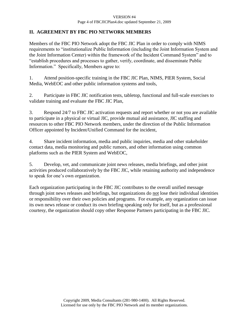#### VERSION #4 Page 4 of FBCJICPlan4.doc updated September 21, 2009

## **II. AGREEMENT BY FBC PIO NETWORK MEMBERS**

Members of the FBC PIO Network adopt the FBC JIC Plan in order to comply with NIMS requirements to "institutionalize Public Information (including the Joint Information System and the Joint Information Center) within the framework of the Incident Command System" and to "establish procedures and processes to gather, verify, coordinate, and disseminate Public Information." Specifically, Members agree to:

1. Attend position-specific training in the FBC JIC Plan, NIMS, PIER System, Social Media, WebEOC and other public information systems and tools,

2. Participate in FBC JIC notification tests, tabletop, functional and full-scale exercises to validate training and evaluate the FBC JIC Plan,

3. Respond 24/7 to FBC JIC activation requests and report whether or not you are available to participate in a physical or virtual JIC, provide mutual aid assistance, JIC staffing and resources to other FBC PIO Network members, under the direction of the Public Information Officer appointed by Incident/Unified Command for the incident,

4. Share incident information, media and public inquiries, media and other stakeholder contact data, media monitoring and public rumors, and other information using common platforms such as the PIER System and WebEOC,

5. Develop, vet, and communicate joint news releases, media briefings, and other joint activities produced collaboratively by the FBC JIC, while retaining authority and independence to speak for one's own organization.

Each organization participating in the FBC JIC contributes to the overall unified message through joint news releases and briefings, but organizations do not lose their individual identities or responsibility over their own policies and programs. For example, any organization can issue its own news release or conduct its own briefing speaking only for itself, but as a professional courtesy, the organization should copy other Response Partners participating in the FBC JIC.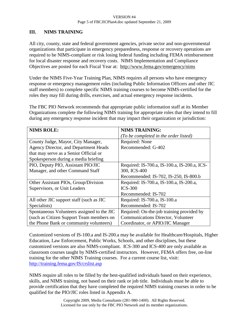#### VERSION #4 Page 5 of FBCJICPlan4.doc updated September 21, 2009

#### **III. NIMS TRAINING**

All city, county, state and federal government agencies, private sector and non-governmental organizations that participate in emergency preparedness, response or recovery operations are required to be NIMS-compliant or risk losing federal funding including FEMA reimbursement for local disaster response and recovery costs. NIMS Implementation and Compliance Objectives are posted for each Fiscal Year at: http://www.fema.gov/emergency/nims

Under the NIMS Five-Year Training Plan, NIMS requires all persons who have emergency response or emergency management roles (including Public Information Officers and other JIC staff members) to complete specific NIMS training courses to become NIMS-certified for the roles they may fill during drills, exercises, and actual emergency response incidents.

The FBC PIO Network recommends that appropriate public information staff at its Member Organizations complete the following NIMS training for appropriate roles that they intend to fill during any emergency response incident that may impact their organization or jurisdiction:

| <b>NIMS ROLE:</b>                            | <b>NIMS TRAINING:</b>                        |
|----------------------------------------------|----------------------------------------------|
|                                              | (To be completed in the order listed)        |
| County Judge, Mayor, City Manager,           | Required: None                               |
| <b>Agency Director, and Department Heads</b> | Recommended: G-402                           |
| that may serve as a Senior Official or       |                                              |
| Spokesperson during a media briefing         |                                              |
| PIO, Deputy PIO, Assistant PIO/JIC           | Required: IS-700.a, IS-100.a, IS-200.a, ICS- |
| Manager, and other Command Staff             | 300, ICS-400                                 |
|                                              | Recommended: IS-702, IS-250, IS-800.b        |
| Other Assistant PIOs, Group/Division         | Required: IS-700.a, IS-100.a, IS-200.a,      |
| Supervisors, or Unit Leaders                 | $ICS-300$                                    |
|                                              | Recommended: IS-702                          |
| All other JIC support staff (such as JIC     | Required: IS-700.a, IS-100.a                 |
| Specialists)                                 | Recommended: IS-702                          |
| Spontaneous Volunteers assigned to the JIC   | Required: On-the-job training provided by    |
| (such as Citizen Support Team members on     | <b>Communications Director, Volunteer</b>    |
| the Phone Bank or community volunteers)      | Coordinator, or APIO/JIC Manager             |

Customized versions of IS-100.a and IS-200.a may be available for Healthcare/Hospitals, Higher Education, Law Enforcement, Public Works, Schools, and other disciplines, but these customized versions are also NIMS-compliant. ICS-300 and ICS-400 are only available as classroom courses taught by NIMS-certified instructors. However, FEMA offers free, on-line training for the other NIMS Training courses. For a current course list, visit: http://training.fema.gov/IS/crslist.asp

NIMS require all roles to be filled by the best-qualified individuals based on their experience, skills, and NIMS training, not based on their rank or job title. Individuals must be able to provide certification that they have completed the required NIMS training courses in order to be qualified for the PIO/JIC roles listed in Appendix A.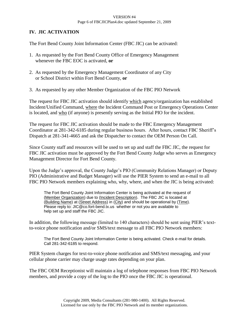#### VERSION #4 Page 6 of FBCJICPlan4.doc updated September 21, 2009

## **IV. JIC ACTIVATION**

The Fort Bend County Joint Information Center (FBC JIC) can be activated:

- 1. As requested by the Fort Bend County Office of Emergency Management whenever the FBC EOC is activated, **or**
- 2. As requested by the Emergency Management Coordinator of any City or School District within Fort Bend County, **or**
- 3. As requested by any other Member Organization of the FBC PIO Network

The request for FBC JIC activation should identify which agency/organization has established Incident/Unified Command, where the Incident Command Post or Emergency Operations Center is located, and who (if anyone) is presently serving as the Initial PIO for the incident.

The request for FBC JIC activation should be made to the FBC Emergency Management Coordinator at 281-342-6185 during regular business hours. After hours, contact FBC Sheriff's Dispatch at 281-341-4665 and ask the Dispatcher to contact the OEM Person On Call.

Since County staff and resources will be used to set up and staff the FBC JIC, the request for FBC JIC activation must be approved by the Fort Bend County Judge who serves as Emergency Management Director for Fort Bend County.

Upon the Judge's approval, the County Judge's PIO (Community Relations Manager) or Deputy PIO (Administrative and Budget Manager) will use the PIER System to send an e-mail to all FBC PIO Network members explaining who, why, where, and when the JIC is being activated:

The Fort Bend County Joint Information Center is being activated at the request of (Member Organization) due to (Incident Description). The FBC JIC is located at (Building Name) at (Street Address) in (City) and should be operational by (Time). Please reply to: JIC@co.fort-bend.tx.us whether or not you are available to help set up and staff the FBC JIC.

In addition, the following message (limited to 140 characters) should be sent using PIER's textto-voice phone notification and/or SMS/text message to all FBC PIO Network members:

The Fort Bend County Joint Information Center is being activated. Check e-mail for details. Call 281-342-6185 to respond.

PIER System charges for text-to-voice phone notification and SMS/text messaging, and your cellular phone carrier may charge usage rates depending on your plan.

The FBC OEM Receptionist will maintain a log of telephone responses from FBC PIO Network members, and provide a copy of the log to the PIO once the FBC JIC is operational.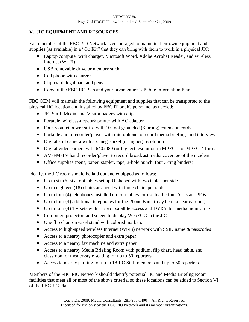#### VERSION #4 Page 7 of FBCJICPlan4.doc updated September 21, 2009

## **V. JIC EQUIPMENT AND RESOURCES**

Each member of the FBC PIO Network is encouraged to maintain their own equipment and supplies (as available) in a "Go Kit" that they can bring with them to work in a physical JIC:

- Laptop computer with charger, Microsoft Word, Adobe Acrobat Reader, and wireless Internet (Wi-Fi)
- USB removable drive or memory stick
- Cell phone with charger
- Clipboard, legal pad, and pens
- Copy of the FBC JIC Plan and your organization's Public Information Plan

FBC OEM will maintain the following equipment and supplies that can be transported to the physical JIC location and installed by FBC IT or JIC personnel as needed:

- JIC Staff, Media, and Visitor badges with clips
- Portable, wireless-network printer with AC adapter
- Four 6-outlet power strips with 10-foot grounded (3-prong) extension cords
- Portable audio recorder/player with microphone to record media briefings and interviews
- Digital still camera with six mega-pixel (or higher) resolution
- Digital video camera with 640x480 (or higher) resolution in MPEG-2 or MPEG-4 format
- AM-FM-TV band recorder/player to record broadcast media coverage of the incident
- Office supplies (pens, paper, stapler, tape, 3-hole punch, four 3-ring binders)

Ideally, the JIC room should be laid out and equipped as follows:

- Up to six (6) six-foot tables set up U-shaped with two tables per side
- Up to eighteen (18) chairs arranged with three chairs per table
- Up to four (4) telephones installed on four tables for use by the four Assistant PIOs
- Up to four (4) additional telephones for the Phone Bank (may be in a nearby room)
- Up to four (4) TV sets with cable or satellite access and DVR's for media monitoring
- Computer, projector, and screen to display WebEOC in the JIC
- One flip chart on easel stand with colored markers
- Access to high-speed wireless Internet (Wi-Fi) network with SSID name & passcodes
- Access to a nearby photocopier and extra paper
- Access to a nearby fax machine and extra paper
- Access to a nearby Media Briefing Room with podium, flip chart, head table, and classroom or theater-style seating for up to 50 reporters
- Access to nearby parking for up to 18 JIC Staff members and up to 50 reporters

Members of the FBC PIO Network should identify potential JIC and Media Briefing Room facilities that meet all or most of the above criteria, so these locations can be added to Section VI of the FBC JIC Plan.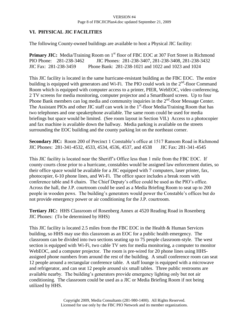#### VERSION #4 Page 8 of FBCJICPlan4.doc updated September 21, 2009

## **VI. PHYSICAL JIC FACILITIES**

The following County-owned buildings are available to host a Physical JIC facility:

**Primary JIC:** Media/Training Room on 1<sup>st</sup> floor of FBC EOC at 307 Fort Street in Richmond PIO Phone: 281-238-3462 JIC Phones: 281-238-3407, 281-238-3408, 281-238-3432 JIC Fax: 281-238-3459 Phone Bank: 281-238-1021 and 1022 and 1023 and 1024

This JIC facility is located in the same hurricane-resistant building as the FBC EOC. The entire building is equipped with generators and Wi-Fi. The PIO could work in the  $2<sup>nd</sup>$ -floor Command Room which is equipped with computer access to a printer, PIER, WebEOC, video conferencing, 2 TV screens for media monitoring, computer projector and a SmartBoard screen. Up to four Phone Bank members can log media and community inquiries in the  $2<sup>nd</sup>$ -floor Message Center. The Assistant PIOs and other JIC staff can work in the  $1<sup>st</sup>$ -floor Media/Training Room that has two telephones and one speakerphone available. The same room could be used for media briefings but space would be limited. (See room layout in Section VII.) Access to a photocopier and fax machine is available down the hallway. Media parking is available on the streets surrounding the EOC building and the county parking lot on the northeast corner.

**Secondary JIC:** Room 200 of Precinct 1 Constable's office at 1517 Ransom Road in Richmond JIC Phones: 281-341-4532, 4533, 4534, 4536, 4537, and 4538 JIC Fax: 281-341-4545

This JIC facility is located near the Sheriff's Office less than 1 mile from the FBC EOC. If county courts close prior to a hurricane, constables would be assigned law enforcement duties, so their office space would be available for a JIC equipped with 7 computers, laser printer, fax, photocopier, 6-10 phone lines, and Wi-Fi. The office space includes a break room with conference table and 8 chairs. The Chief Deputy's office could be used as the PIO's office. Across the hall, the J.P. courtroom could be used as a Media Briefing Room to seat up to 200 people in wooden pews. The building's generators would power the Constable's offices but do not provide emergency power or air conditioning for the J.P. courtroom.

**Tertiary JIC:** HHS Classroom of Rosenberg Annex at 4520 Reading Road in Rosenberg JIC Phones: (To be determined by HHS)

This JIC facility is located 2.5 miles from the FBC EOC in the Health & Human Services building, so HHS may use this classroom as an EOC for a public health emergency. The classroom can be divided into two sections seating up to 75 people classroom-style. The west section is equipped with Wi-Fi, two cable TV sets for media monitoring, a computer to monitor WebEOC, and a computer projector. The room is pre-wired for 20 phone lines using HHSassigned phone numbers from around the rest of the building. A small conference room can seat 12 people around a rectangular conference table. A staff lounge is equipped with a microwave and refrigerator, and can seat 12 people around six small tables. Three public restrooms are available nearby. The building's generators provide emergency lighting only but not air conditioning. The classroom could be used as a JIC or Media Briefing Room if not being utilized by HHS.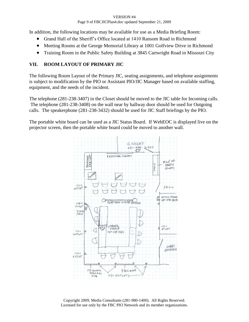#### VERSION #4 Page 9 of FBCJICPlan4.doc updated September 21, 2009

In addition, the following locations may be available for use as a Media Briefing Room:

- Grand Hall of the Sheriff's Office located at 1410 Ransom Road in Richmond
- Meeting Rooms at the George Memorial Library at 1001 Golfview Drive in Richmond
- Training Room in the Public Safety Building at 3845 Cartwright Road in Missouri City

## **VII. ROOM LAYOUT OF PRIMARY JIC**

The following Room Layout of the Primary JIC, seating assignments, and telephone assignments is subject to modification by the PIO or Assistant PIO/JIC Manager based on available staffing, equipment, and the needs of the incident.

The telephone (281-238-3407) in the Closet should be moved to the JIC table for Incoming calls. The telephone (281-238-3408) on the wall near by hallway door should be used for Outgoing calls. The speakerphone (281-238-3432) should be used for JIC Staff briefings by the PIO.

The portable white board can be used as a JIC Status Board. If WebEOC is displayed live on the projector screen, then the portable white board could be moved to another wall.



Copyright 2009, Media Consultants (281-980-1400). All Rights Reserved. Licensed for use only by the FBC PIO Network and its member organizations.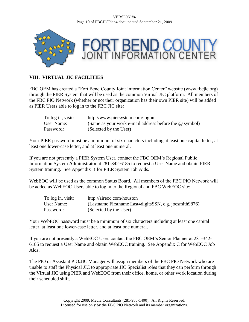#### VERSION #4 Page 10 of FBCJICPlan4.doc updated September 21, 2009



## **VIII. VIRTUAL JIC FACILITIES**

FBC OEM has created a "Fort Bend County Joint Information Center" website (www.fbcjic.org) through the PIER System that will be used as the common Virtual JIC platform. All members of the FBC PIO Network (whether or not their organization has their own PIER site) will be added as PIER Users able to log in to the FBC JIC site:

| To log in, visit: | http://www.piersystem.com/logon                               |
|-------------------|---------------------------------------------------------------|
| User Name:        | (Same as your work e-mail address before the $\omega$ symbol) |
| Password:         | (Selected by the User)                                        |

Your PIER password must be a minimum of six characters including at least one capital letter, at least one lower-case letter, and at least one numeral.

If you are not presently a PIER System User, contact the FBC OEM's Regional Public Information System Administrator at 281-342-6185 to request a User Name and obtain PIER System training. See Appendix B for PIER System Job Aids.

WebEOC will be used as the common Status Board. All members of the FBC PIO Network will be added as WebEOC Users able to log in to the Regional and FBC WebEOC site:

| To log in, visit: | http://aireoc.com/houston                                 |
|-------------------|-----------------------------------------------------------|
| User Name:        | (Lastname Firstname Last4digits SSN, e.g. joes mith 9876) |
| Password:         | (Selected by the User)                                    |

Your WebEOC password must be a minimum of six characters including at least one capital letter, at least one lower-case letter, and at least one numeral.

If you are not presently a WebEOC User, contact the FBC OEM's Senior Planner at 281-342- 6185 to request a User Name and obtain WebEOC training. See Appendix C for WebEOC Job Aids.

The PIO or Assistant PIO/JIC Manager will assign members of the FBC PIO Network who are unable to staff the Physical JIC to appropriate JIC Specialist roles that they can perform through the Virtual JIC using PIER and WebEOC from their office, home, or other work location during their scheduled shift.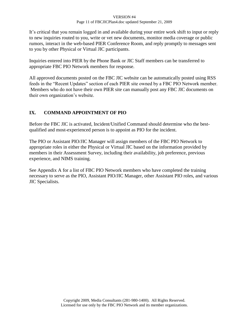#### VERSION #4 Page 11 of FBCJICPlan4.doc updated September 21, 2009

It's critical that you remain logged in and available during your entire work shift to input or reply to new inquiries routed to you, write or vet new documents, monitor media coverage or public rumors, interact in the web-based PIER Conference Room, and reply promptly to messages sent to you by other Physical or Virtual JIC participants.

Inquiries entered into PIER by the Phone Bank or JIC Staff members can be transferred to appropriate FBC PIO Network members for response.

All approved documents posted on the FBC JIC website can be automatically posted using RSS feeds in the "Recent Updates" section of each PIER site owned by a FBC PIO Network member. Members who do not have their own PIER site can manually post any FBC JIC documents on their own organization's website.

## **IX. COMMAND APPOINTMENT OF PIO**

Before the FBC JIC is activated, Incident/Unified Command should determine who the bestqualified and most-experienced person is to appoint as PIO for the incident.

The PIO or Assistant PIO/JIC Manager will assign members of the FBC PIO Network to appropriate roles in either the Physical or Virtual JIC based on the information provided by members in their Assessment Survey, including their availability, job preference, previous experience, and NIMS training.

See Appendix A for a list of FBC PIO Network members who have completed the training necessary to serve as the PIO, Assistant PIO/JIC Manager, other Assistant PIO roles, and various JIC Specialists.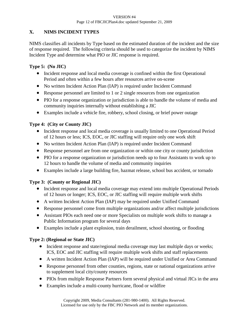## **X. NIMS INCIDENT TYPES**

NIMS classifies all incidents by Type based on the estimated duration of the incident and the size of response required. The following criteria should be used to categorize the incident by NIMS Incident Type and determine what PIO or JIC response is required.

## **Type 5: (No JIC)**

- Incident response and local media coverage is confined within the first Operational Period and often within a few hours after resources arrive on-scene
- No written Incident Action Plan (IAP) is required under Incident Command
- Response personnel are limited to 1 or 2 single resources from one organization
- PIO for a response organization or jurisdiction is able to handle the volume of media and community inquiries internally without establishing a JIC
- Examples include a vehicle fire, robbery, school closing, or brief power outage

## **Type 4: (City or County JIC)**

- Incident response and local media coverage is usually limited to one Operational Period of 12 hours or less; ICS, EOC, or JIC staffing will require only one work shift
- No written Incident Action Plan (IAP) is required under Incident Command
- Response personnel are from one organization or within one city or county jurisdiction
- PIO for a response organization or jurisdiction needs up to four Assistants to work up to 12 hours to handle the volume of media and community inquiries
- Examples include a large building fire, hazmat release, school bus accident, or tornado

## **Type 3: (County or Regional JIC)**

- Incident response and local media coverage may extend into multiple Operational Periods of 12 hours or longer; ICS, EOC, or JIC staffing will require multiple work shifts
- A written Incident Action Plan (IAP) may be required under Unified Command
- Response personnel come from multiple organizations and/or affect multiple jurisdictions
- Assistant PIOs each need one or more Specialists on multiple work shifts to manage a Public Information program for several days
- Examples include a plant explosion, train derailment, school shooting, or flooding

## **Type 2: (Regional or State JIC)**

- Incident response and state/regional media coverage may last multiple days or weeks; ICS, EOC and JIC staffing will require multiple work shifts and staff replacements
- A written Incident Action Plan (IAP) will be required under Unified or Area Command
- Response personnel from other counties, regions, state or national organizations arrive to supplement local city/county resources
- PIOs from multiple Response Partners form several physical and virtual JICs in the area
- Examples include a multi-county hurricane, flood or wildfire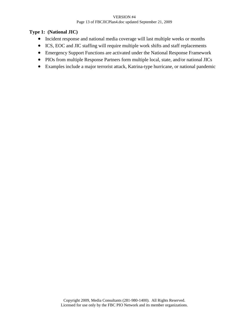#### VERSION #4 Page 13 of FBCJICPlan4.doc updated September 21, 2009

## **Type 1: (National JIC)**

- Incident response and national media coverage will last multiple weeks or months
- ICS, EOC and JIC staffing will require multiple work shifts and staff replacements
- Emergency Support Functions are activated under the National Response Framework
- PIOs from multiple Response Partners form multiple local, state, and/or national JICs
- Examples include a major terrorist attack, Katrina-type hurricane, or national pandemic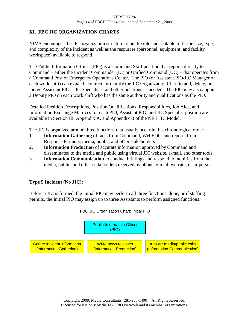#### VERSION #4 Page 14 of FBCJICPlan4.doc updated September 21, 2009

## **XI. FBC JIC ORGANIZATION CHARTS**

NIMS encourages the JIC organization structure to be flexible and scalable to fit the size, type, and complexity of the incident as well as the resources (personnel, equipment, and facility workspace) available to respond.

The Public Information Officer (PIO) is a Command Staff position that reports directly to Command – either the Incident Commander (IC) or Unified Command (UC) – that operates from a Command Post or Emergency Operations Center. The PIO (or Assistant PIO/JIC Manager on each work shift) can expand, contract, or modify the JIC Organization Chart to add, delete, or merge Assistant PIOs, JIC Specialists, and other positions as needed. The PIO may also appoint a Deputy PIO on each work shift who has the same authority and qualifications as the PIO.

Detailed Position Descriptions, Position Qualifications, Responsibilities, Job Aids, and Information Exchange Matrices for each PIO, Assistant PIO, and JIC Specialist position are available in Section III, Appendix A, and Appendix B of the NRT JIC Model.

The JIC is organized around three functions that usually occur in this chronological order:

- 1. **Information Gathering** of facts from Command, WebEOC, and reports from Response Partners, media, public, and other stakeholders
- 2. **Information Production** of accurate information approved by Command and disseminated to the media and public using virtual JIC website, e-mail, and other tools
- 3. **Information Communication** to conduct briefings and respond to inquiries from the media, public, and other stakeholders received by phone, e-mail, website, or in-person

## **Type 5 Incident (No JIC):**

Before a JIC is formed, the Initial PIO may perform all three functions alone, or if staffing permits, the Initial PIO may assign up to three Assistants to perform assigned functions:



FBC JIC Organization Chart: Initial PIO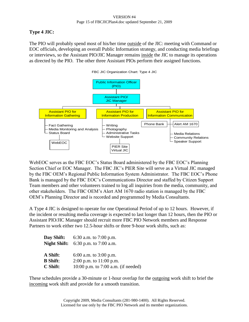#### VERSION #4 Page 15 of FBCJICPlan4.doc updated September 21, 2009

## **Type 4 JIC:**

The PIO will probably spend most of his/her time outside of the JIC: meeting with Command or EOC officials, developing an overall Public Information strategy, and conducting media briefings or interviews, so the Assistant PIO/JIC Manager remains inside the JIC to manage its operations as directed by the PIO. The other three Assistant PIOs perform their assigned functions.



WebEOC serves as the FBC EOC's Status Board administered by the FBC EOC's Planning Section Chief or EOC Manager. The FBC JIC's PIER Site will serve as a Virtual JIC managed by the FBC OEM's Regional Public Information System Administrator. The FBC EOC's Phone Bank is managed by the FBC EOC's Communications Director and staffed by Citizen Support Team members and other volunteers trained to log all inquiries from the media, community, and other stakeholders. The FBC OEM's Alert AM 1670 radio station is managed by the FBC OEM's Planning Director and is recorded and programmed by Media Consultants.

A Type 4 JIC is designed to operate for one Operational Period of up to 12 hours. However, if the incident or resulting media coverage is expected to last longer than 12 hours, then the PIO or Assistant PIO/JIC Manager should recruit more FBC PIO Network members and Response Partners to work either two 12.5-hour shifts or three 9-hour work shifts, such as:

|                 | <b>Day Shift:</b> $6:30$ a.m. to $7:00$ p.m.                   |
|-----------------|----------------------------------------------------------------|
|                 | <b>Night Shift:</b> $6:30 \text{ p.m.}$ to $7:00 \text{ a.m.}$ |
| A Shift:        | 6:00 a.m. to $3:00$ p.m.                                       |
| <b>B</b> Shift: | 2:00 p.m. to $11:00$ p.m.                                      |
| C Shift:        | 10:00 p.m. to 7:00 a.m. (if needed)                            |

These schedules provide a 30-minute or 1-hour overlap for the outgoing work shift to brief the incoming work shift and provide for a smooth transition.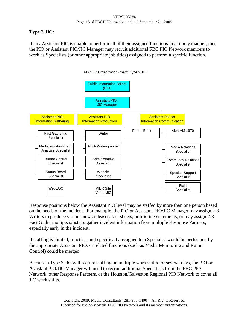#### VERSION #4 Page 16 of FBCJICPlan4.doc updated September 21, 2009

## **Type 3 JIC:**

If any Assistant PIO is unable to perform all of their assigned functions in a timely manner, then the PIO or Assistant PIO/JIC Manager may recruit additional FBC PIO Network members to work as Specialists (or other appropriate job titles) assigned to perform a specific function.



Response positions below the Assistant PIO level may be staffed by more than one person based on the needs of the incident. For example, the PIO or Assistant PIO/JIC Manager may assign 2-3 Writers to produce various news releases, fact sheets, or briefing statements, or may assign 2-3 Fact Gathering Specialists to gather incident information from multiple Response Partners, especially early in the incident.

If staffing is limited, functions not specifically assigned to a Specialist would be performed by the appropriate Assistant PIO, or related functions (such as Media Monitoring and Rumor Control) could be merged.

Because a Type 3 JIC will require staffing on multiple work shifts for several days, the PIO or Assistant PIO/JIC Manager will need to recruit additional Specialists from the FBC PIO Network, other Response Partners, or the Houston/Galveston Regional PIO Network to cover all JIC work shifts.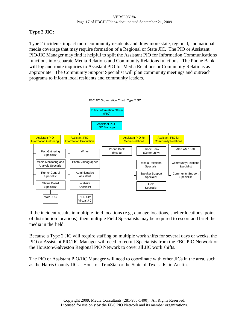## **Type 2 JIC:**

Type 2 incidents impact more community residents and draw more state, regional, and national media coverage that may require formation of a Regional or State JIC. The PIO or Assistant PIO/JIC Manager may find it helpful to split the Assistant PIO for Information Communications functions into separate Media Relations and Community Relations functions. The Phone Bank will log and route inquiries to Assistant PIO for Media Relations or Community Relations as appropriate. The Community Support Specialist will plan community meetings and outreach programs to inform local residents and community leaders.



If the incident results in multiple field locations (e.g., damage locations, shelter locations, point of distribution locations), then multiple Field Specialists may be required to escort and brief the media in the field.

Because a Type 2 JIC will require staffing on multiple work shifts for several days or weeks, the PIO or Assistant PIO/JIC Manager will need to recruit Specialists from the FBC PIO Network or the Houston/Galveston Regional PIO Network to cover all JIC work shifts.

The PIO or Assistant PIO/JIC Manager will need to coordinate with other JICs in the area, such as the Harris County JIC at Houston TranStar or the State of Texas JIC in Austin.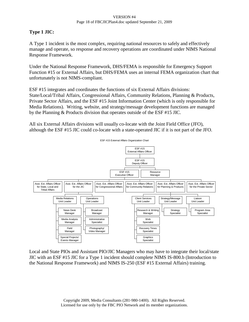#### VERSION #4 Page 18 of FBCJICPlan4.doc updated September 21, 2009

## **Type 1 JIC:**

A Type 1 incident is the most complex, requiring national resources to safely and effectively manage and operate, so response and recovery operations are coordinated under NIMS National Response Framework.

Under the National Response Framework, DHS/FEMA is responsible for Emergency Support Function #15 or External Affairs, but DHS/FEMA uses an internal FEMA organization chart that unfortunately is not NIMS-compliant.

ESF #15 integrates and coordinates the functions of six External Affairs divisions: State/Local/Tribal Affairs, Congressional Affairs, Community Relations, Planning & Products, Private Sector Affairs, and the ESF #15 Joint Information Center (which is only responsible for Media Relations). Writing, website, and strategy/message development functions are managed by the Planning & Products division that operates outside of the ESF #15 JIC.

All six External Affairs divisions will usually co-locate with the Joint Field Office (JFO), although the ESF #15 JIC could co-locate with a state-operated JIC if it is not part of the JFO.



Local and State PIOs and Assistant PIO/JIC Managers who may have to integrate their local/state JIC with an ESF #15 JIC for a Type 1 incident should complete NIMS IS-800.b (Introduction to the National Response Framework) and NIMS IS-250 (ESF #15 External Affairs) training.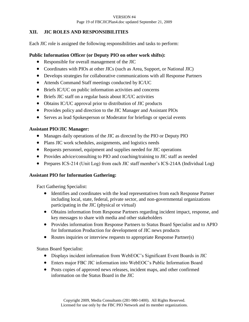#### VERSION #4 Page 19 of FBCJICPlan4.doc updated September 21, 2009

## **XII. JIC ROLES AND RESPONSIBILITIES**

Each JIC role is assigned the following responsibilities and tasks to perform:

## **Public Information Officer (or Deputy PIO on other work shifts):**

- Responsible for overall management of the JIC
- Coordinates with PIOs at other JICs (such as Area, Support, or National JIC)
- Develops strategies for collaborative communications with all Response Partners
- Attends Command Staff meetings conducted by IC/UC
- Briefs IC/UC on public information activities and concerns
- Briefs JIC staff on a regular basis about IC/UC activities
- Obtains IC/UC approval prior to distribution of JIC products
- Provides policy and direction to the JIC Manager and Assistant PIOs
- Serves as lead Spokesperson or Moderator for briefings or special events

#### **Assistant PIO/JIC Manager:**

- Manages daily operations of the JIC as directed by the PIO or Deputy PIO
- Plans JIC work schedules, assignments, and logistics needs
- Requests personnel, equipment and supplies needed for JIC operations
- Provides advice/consulting to PIO and coaching/training to JIC staff as needed
- Prepares ICS-214 (Unit Log) from each JIC staff member's ICS-214A (Individual Log)

#### **Assistant PIO for Information Gathering:**

Fact Gathering Specialist:

- Identifies and coordinates with the lead representatives from each Response Partner including local, state, federal, private sector, and non-governmental organizations participating in the JIC (physical or virtual)
- Obtains information from Response Partners regarding incident impact, response, and key messages to share with media and other stakeholders
- Provides information from Response Partners to Status Board Specialist and to APIO for Information Production for development of JIC news products
- Routes inquiries or interview requests to appropriate Response Partner(s)

Status Board Specialist:

- Displays incident information from WebEOC's Significant Event Boards in JIC
- Enters major FBC JIC information into WebEOC's Public Information Board
- Posts copies of approved news releases, incident maps, and other confirmed information on the Status Board in the JIC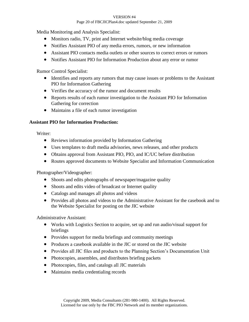#### VERSION #4

#### Page 20 of FBCJICPlan4.doc updated September 21, 2009

Media Monitoring and Analysis Specialist:

- Monitors radio, TV, print and Internet website/blog media coverage
- Notifies Assistant PIO of any media errors, rumors, or new information
- Assistant PIO contacts media outlets or other sources to correct errors or rumors
- Notifies Assistant PIO for Information Production about any error or rumor

Rumor Control Specialist:

- Identifies and reports any rumors that may cause issues or problems to the Assistant PIO for Information Gathering
- Verifies the accuracy of the rumor and document results
- Reports results of each rumor investigation to the Assistant PIO for Information Gathering for correction
- Maintains a file of each rumor investigation

## **Assistant PIO for Information Production:**

Writer:

- Reviews information provided by Information Gathering
- Uses templates to draft media advisories, news releases, and other products
- Obtains approval from Assistant PIO, PIO, and IC/UC before distribution
- Routes approved documents to Website Specialist and Information Communication

Photographer/Videographer:

- Shoots and edits photographs of newspaper/magazine quality
- Shoots and edits video of broadcast or Internet quality
- Catalogs and manages all photos and videos
- Provides all photos and videos to the Administrative Assistant for the casebook and to the Website Specialist for posting on the JIC website

Administrative Assistant:

- Works with Logistics Section to acquire, set up and run audio/visual support for briefings
- Provides support for media briefings and community meetings
- Produces a casebook available in the JIC or stored on the JIC website
- Provides all JIC files and products to the Planning Section's Documentation Unit
- Photocopies, assembles, and distributes briefing packets
- Photocopies, files, and catalogs all JIC materials
- Maintains media credentialing records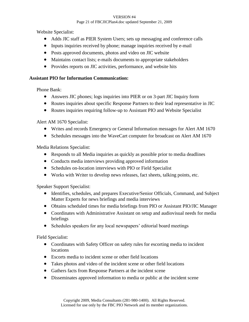#### VERSION #4

#### Page 21 of FBCJICPlan4.doc updated September 21, 2009

Website Specialist:

- Adds JIC staff as PIER System Users; sets up messaging and conference calls
- Inputs inquiries received by phone; manage inquiries received by e-mail
- Posts approved documents, photos and video on JIC website
- Maintains contact lists; e-mails documents to appropriate stakeholders
- Provides reports on JIC activities, performance, and website hits

## **Assistant PIO for Information Communication:**

Phone Bank:

- Answers JIC phones; logs inquiries into PIER or on 3-part JIC Inquiry form
- Routes inquiries about specific Response Partners to their lead representative in JIC
- Routes inquiries requiring follow-up to Assistant PIO and Website Specialist

Alert AM 1670 Specialist:

- Writes and records Emergency or General Information messages for Alert AM 1670
- Schedules messages into the WaveCart computer for broadcast on Alert AM 1670

Media Relations Specialist:

- Responds to all Media inquiries as quickly as possible prior to media deadlines
- Conducts media interviews providing approved information
- Schedules on-location interviews with PIO or Field Specialist
- Works with Writer to develop news releases, fact sheets, talking points, etc.

Speaker Support Specialist:

- Identifies, schedules, and prepares Executive/Senior Officials, Command, and Subject Matter Experts for news briefings and media interviews
- Obtains scheduled times for media briefings from PIO or Assistant PIO/JIC Manager
- Coordinates with Administrative Assistant on setup and audiovisual needs for media briefings
- Schedules speakers for any local newspapers' editorial board meetings

Field Specialist:

- Coordinates with Safety Officer on safety rules for escorting media to incident locations
- Escorts media to incident scene or other field locations
- Takes photos and video of the incident scene or other field locations
- Gathers facts from Response Partners at the incident scene
- Disseminates approved information to media or public at the incident scene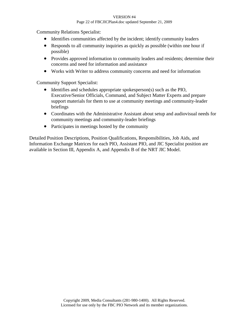#### VERSION #4

#### Page 22 of FBCJICPlan4.doc updated September 21, 2009

Community Relations Specialist:

- Identifies communities affected by the incident; identify community leaders
- Responds to all community inquiries as quickly as possible (within one hour if possible)
- Provides approved information to community leaders and residents; determine their concerns and need for information and assistance
- Works with Writer to address community concerns and need for information

Community Support Specialist:

- $\bullet$  Identifies and schedules appropriate spokesperson(s) such as the PIO, Executive/Senior Officials, Command, and Subject Matter Experts and prepare support materials for them to use at community meetings and community-leader briefings
- Coordinates with the Administrative Assistant about setup and audiovisual needs for community meetings and community-leader briefings
- Participates in meetings hosted by the community

Detailed Position Descriptions, Position Qualifications, Responsibilities, Job Aids, and Information Exchange Matrices for each PIO, Assistant PIO, and JIC Specialist position are available in Section III, Appendix A, and Appendix B of the NRT JIC Model.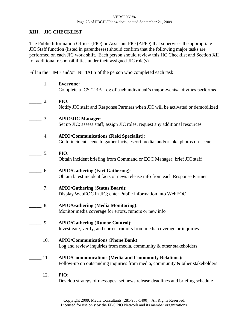## **XIII. JIC CHECKLIST**

The Public Information Officer (PIO) or Assistant PIO (APIO) that supervises the appropriate JIC Staff function (listed in parentheses) should confirm that the following major tasks are performed on each JIC work shift. Each person should review this JIC Checklist and Section XII for additional responsibilities under their assigned JIC role(s).

Fill in the TIME and/or INITIALS of the person who completed each task:

| $\overline{1}$ .                                        | <b>Everyone:</b><br>Complete a ICS-214A Log of each individual's major events/activities performed                                              |
|---------------------------------------------------------|-------------------------------------------------------------------------------------------------------------------------------------------------|
| $\frac{2}{2}$                                           | PIO:<br>Notify JIC staff and Response Partners when JIC will be activated or demobilized                                                        |
| $\frac{3}{2}$                                           | <b>APIO/JIC Manager:</b><br>Set up JIC; assess staff; assign JIC roles; request any additional resources                                        |
| $\frac{4}{1}$                                           | <b>APIO/Communications (Field Specialist):</b><br>Go to incident scene to gather facts, escort media, and/or take photos on-scene               |
| $\frac{1}{\sqrt{2}}$ 5.                                 | PIO:<br>Obtain incident briefing from Command or EOC Manager; brief JIC staff                                                                   |
| $\frac{1}{\sqrt{1-\frac{1}{2}}}\frac{6}{1-\frac{1}{2}}$ | <b>APIO/Gathering (Fact Gathering):</b><br>Obtain latest incident facts or news release info from each Response Partner                         |
| $\frac{1}{\sqrt{1-\frac{1}{2}}}$                        | <b>APIO/Gathering (Status Board):</b><br>Display WebEOC in JIC; enter Public Information into WebEOC                                            |
| $\sim$ 8.                                               | <b>APIO/Gathering (Media Monitoring):</b><br>Monitor media coverage for errors, rumors or new info                                              |
| $\frac{1}{\sqrt{1-\frac{1}{2}}}\frac{9}{2}$ .           | <b>APIO/Gathering (Rumor Control):</b><br>Investigate, verify, and correct rumors from media coverage or inquiries                              |
| $\frac{10}{2}$                                          | <b>APIO/Communications (Phone Bank):</b><br>Log and review inquiries from media, community $\&$ other stakeholders                              |
| $\frac{11}{2}$                                          | <b>APIO/Communications (Media and Community Relations):</b><br>Follow-up on outstanding inquiries from media, community $\&$ other stakeholders |
| 12.                                                     | PIO:<br>Develop strategy of messages; set news release deadlines and briefing schedule                                                          |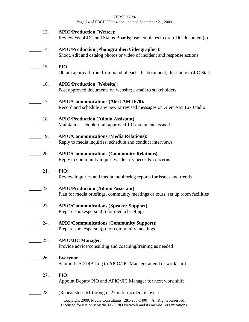#### VERSION #4 Page 24 of FBCJICPlan4.doc updated September 21, 2009

| 13.             | <b>APIO/Production (Writer):</b><br>Review WebEOC and Status Boards; use templates to draft JIC document(s)                                                                                                  |
|-----------------|--------------------------------------------------------------------------------------------------------------------------------------------------------------------------------------------------------------|
| $\frac{14}{1}$  | <b>APIO/Production (Photographer/Videographer):</b><br>Shoot, edit and catalog photos or video of incident and response actions                                                                              |
| $\frac{15}{2}$  | PIO:<br>Obtain approval from Command of each JIC document; distribute to JIC Staff                                                                                                                           |
| $\frac{16}{16}$ | <b>APIO/Production (Website):</b><br>Post approved documents on website; e-mail to stakeholders                                                                                                              |
| $\frac{17}{2}$  | <b>APIO/Communications (Alert AM 1670):</b><br>Record and schedule any new or revised messages on Alert AM 1670 radio                                                                                        |
| $\frac{18}{2}$  | <b>APIO/Production (Admin Assistant):</b><br>Maintain casebook of all approved JIC documents issued                                                                                                          |
| $\frac{19}{2}$  | <b>APIO/Communications (Media Relations):</b><br>Reply to media inquiries; schedule and conduct interviews                                                                                                   |
| 20.             | <b>APIO/Communications (Community Relations):</b><br>Reply to community inquiries; identify needs $&$ concerns                                                                                               |
| 21.             | PIO:<br>Review inquiries and media monitoring reports for issues and trends                                                                                                                                  |
| $\frac{22}{2}$  | <b>APIO/Production (Admin Assistant):</b><br>Plan for media briefings, community meetings or tours; set up room facilities                                                                                   |
| $\frac{23}{2}$  | <b>APIO/Communications (Speaker Support):</b><br>Prepare spokesperson(s) for media briefings                                                                                                                 |
| 24.             | <b>APIO/Communications (Community Support):</b><br>Prepare spokesperson(s) for community meetings                                                                                                            |
| 25.             | <b>APIO/JIC Manager:</b><br>Provide advice/consulting and coaching/training as needed                                                                                                                        |
| 26.             | <b>Everyone:</b><br>Submit ICS-214A Log to APIO/JIC Manager at end of work shift                                                                                                                             |
| 27.             | PIO:<br>Appoint Deputy PIO and APIO/JIC Manager for next work shift                                                                                                                                          |
| 28.             | (Repeat steps #1 through #27 until incident is over)<br>Copyright 2009, Media Consultants (281-980-1400). All Rights Reserved.<br>Licensed for use only by the FBC PIO Network and its member organizations. |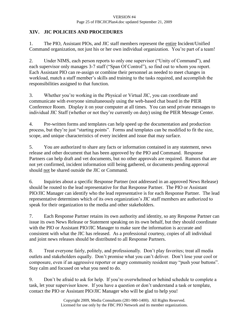## **XIV. JIC POLICIES AND PROCEDURES**

1. The PIO, Assistant PIOs, and JIC staff members represent the entire Incident/Unified Command organization, not just his or her own individual organization. You're part of a team!

2. Under NIMS, each person reports to only one supervisor ("Unity of Command"), and each supervisor only manages 3-7 staff ("Span Of Control"), so find out to whom you report. Each Assistant PIO can re-assign or combine their personnel as needed to meet changes in workload, match a staff member's skills and training to the tasks required, and accomplish the responsibilities assigned to that function.

3. Whether you're working in the Physical or Virtual JIC, you can coordinate and communicate with everyone simultaneously using the web-based chat board in the PIER Conference Room. Display it on your computer at all times. You can send private messages to individual JIC Staff (whether or not they're currently on duty) using the PIER Message Center.

4. Pre-written forms and templates can help speed up the documentation and production process, but they're just "starting points". Forms and templates can be modified to fit the size, scope, and unique characteristics of every incident and issue that may surface.

5. You are authorized to share any facts or information contained in any statement, news release and other document that has been approved by the PIO and Command. Response Partners can help draft and vet documents, but no other approvals are required. Rumors that are not yet confirmed, incident information still being gathered, or documents pending approval should not be shared outside the JIC or Command.

6. Inquiries about a specific Response Partner (not addressed in an approved News Release) should be routed to the lead representative for that Response Partner. The PIO or Assistant PIO/JIC Manager can identify who the lead representative is for each Response Partner. The lead representative determines which of its own organization's JIC staff members are authorized to speak for their organization to the media and other stakeholders.

7. Each Response Partner retains its own authority and identity, so any Response Partner can issue its own News Release or Statement speaking on its own behalf, but they should coordinate with the PIO or Assistant PIO/JIC Manager to make sure the information is accurate and consistent with what the JIC has released. As a professional courtesy, copies of all individual and joint news releases should be distributed to all Response Partners.

8. Treat everyone fairly, politely, and professionally. Don't play favorites; treat all media outlets and stakeholders equally. Don't promise what you can't deliver. Don't lose your cool or composure, even if an aggressive reporter or angry community resident may "push your buttons". Stay calm and focused on what you need to do.

9. Don't be afraid to ask for help. If you're overwhelmed or behind schedule to complete a task, let your supervisor know. If you have a question or don't understand a task or template, contact the PIO or Assistant PIO/JIC Manager who will be glad to help you!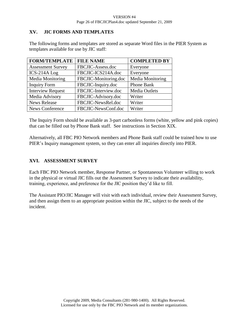VERSION #4 Page 26 of FBCJICPlan4.doc updated September 21, 2009

#### **XV. JIC FORMS AND TEMPLATES**

The following forms and templates are stored as separate Word files in the PIER System as templates available for use by JIC staff:

| <b>FORM/TEMPLATE</b>     | <b>FILE NAME</b>      | <b>COMPLETED BY</b> |
|--------------------------|-----------------------|---------------------|
| <b>Assessment Survey</b> | FBCJIC-Assess.doc     | Everyone            |
| ICS-214A Log             | FBCJIC-ICS214A.doc    | Everyone            |
| Media Monitoring         | FBCJIC-Monitoring.doc | Media Monitoring    |
| <b>Inquiry Form</b>      | FBCJIC-Inquiry.doc    | Phone Bank          |
| <b>Interview Request</b> | FBCJIC-Interview.doc  | Media Outlets       |
| Media Advisory           | FBCJIC-Advisory.doc   | Writer              |
| <b>News Release</b>      | FBCJIC-NewsRel.doc    | Writer              |
| <b>News Conference</b>   | FBCJIC-NewsConf.doc   | Writer              |

The Inquiry Form should be available as 3-part carbonless forms (white, yellow and pink copies) that can be filled out by Phone Bank staff. See instructions in Section XIX.

Alternatively, all FBC PIO Network members and Phone Bank staff could be trained how to use PIER's Inquiry management system, so they can enter all inquiries directly into PIER.

## **XVI. ASSESSMENT SURVEY**

Each FBC PIO Network member, Response Partner, or Spontaneous Volunteer willing to work in the physical or virtual JIC fills out the Assessment Survey to indicate their availability, training, experience, and preference for the JIC position they'd like to fill.

The Assistant PIO/JIC Manager will visit with each individual, review their Assessment Survey, and then assign them to an appropriate position within the JIC, subject to the needs of the incident.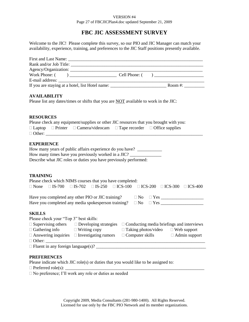#### VERSION #4 Page 27 of FBCJICPlan4.doc updated September 21, 2009

## **FBC JIC ASSESSMENT SURVEY**

Welcome to the JIC! Please complete this survey, so our PIO and JIC Manager can match your availability, experience, training, and preferences to the JIC Staff positions presently available.

| <b>AVAILABILITY</b><br>Please list any dates/times or shifts that you are NOT available to work in the JIC:                                                                                                                                                                                                                                                                                       |
|---------------------------------------------------------------------------------------------------------------------------------------------------------------------------------------------------------------------------------------------------------------------------------------------------------------------------------------------------------------------------------------------------|
| <b>RESOURCES</b><br>Please check any equipment/supplies or other JIC resources that you brought with you:<br>$\Box$ Laptop $\Box$ Printer $\Box$ Camera/videocam $\Box$ Tape recorder $\Box$ Office supplies                                                                                                                                                                                      |
| <b>EXPERIENCE</b><br>How many years of public affairs experience do you have? ________________________<br>How many times have you previously worked in a JIC? _____________________________<br>Describe what JIC roles or duties you have previously performed:                                                                                                                                   |
| <b>TRAINING</b><br>Please check which NIMS courses that you have completed:<br>$\Box$ IS-250 $\Box$ ICS-100 $\Box$ ICS-200 $\Box$ ICS-300 $\Box$ ICS-400<br>$\Box$ IS-700<br>$\Box$ IS-702<br>$\Box$ None                                                                                                                                                                                         |
| Have you completed any other PIO or JIC training?<br>Have you completed any media spokesperson training?                                                                                                                                                                                                                                                                                          |
| <b>SKILLS</b><br>Please check your "Top 3" best skills:<br>$\Box$ Supervising others $\Box$ Developing strategies $\Box$ Conducting media briefings and interviews<br>$\Box$ Gathering info $\Box$ Writing copy<br>$\Box$ Taking photos/video $\Box$ Web support<br>$\Box$ Answering inquiries $\Box$ Investigating rumors<br>$\Box$ Computer skills $\Box$ Admin support<br>$\Box$ Other: $\_\_$ |

#### **PREFERENCES**

Please indicate which JIC role(s) or duties that you would like to be assigned to:

 $\Box$  Preferred role(s):  $\Box$ 

No preference; I'll work any role or duties as needed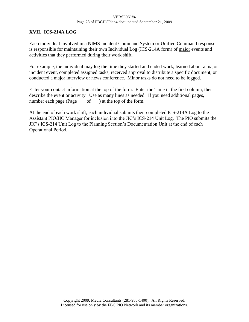#### VERSION #4 Page 28 of FBCJICPlan4.doc updated September 21, 2009

#### **XVII. ICS-214A LOG**

Each individual involved in a NIMS Incident Command System or Unified Command response is responsible for maintaining their own Individual Log (ICS-214A form) of major events and activities that they performed during their work shift.

For example, the individual may log the time they started and ended work, learned about a major incident event, completed assigned tasks, received approval to distribute a specific document, or conducted a major interview or news conference. Minor tasks do not need to be logged.

Enter your contact information at the top of the form. Enter the Time in the first column, then describe the event or activity. Use as many lines as needed. If you need additional pages, number each page (Page  $\qquad$  of  $\qquad$ ) at the top of the form.

At the end of each work shift, each individual submits their completed ICS-214A Log to the Assistant PIO/JIC Manager for inclusion into the JIC's ICS-214 Unit Log. The PIO submits the JIC's ICS-214 Unit Log to the Planning Section's Documentation Unit at the end of each Operational Period.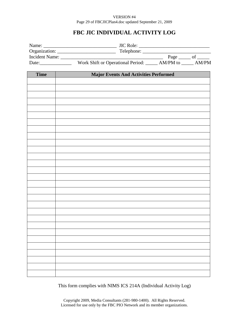#### VERSION #4 Page 29 of FBCJICPlan4.doc updated September 21, 2009

## **FBC JIC INDIVIDUAL ACTIVITY LOG**

| Time | <b>Major Events And Activities Performed</b> |  |
|------|----------------------------------------------|--|
|      |                                              |  |
|      |                                              |  |
|      |                                              |  |
|      |                                              |  |
|      |                                              |  |
|      |                                              |  |
|      |                                              |  |
|      |                                              |  |
|      |                                              |  |
|      |                                              |  |
|      |                                              |  |
|      |                                              |  |
|      |                                              |  |
|      |                                              |  |
|      |                                              |  |
|      |                                              |  |
|      |                                              |  |
|      |                                              |  |
|      |                                              |  |
|      |                                              |  |
|      |                                              |  |
|      |                                              |  |
|      |                                              |  |
|      |                                              |  |
|      |                                              |  |
|      |                                              |  |
|      |                                              |  |
|      |                                              |  |
|      |                                              |  |
|      |                                              |  |
|      |                                              |  |
|      |                                              |  |
|      |                                              |  |
|      |                                              |  |

This form complies with NIMS ICS 214A (Individual Activity Log)

Copyright 2009, Media Consultants (281-980-1400). All Rights Reserved. Licensed for use only by the FBC PIO Network and its member organizations.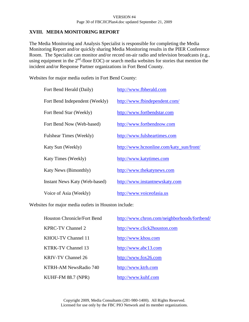## **XVIII. MEDIA MONITORING REPORT**

The Media Monitoring and Analysis Specialist is responsible for completing the Media Monitoring Report and/or quickly sharing Media Monitoring results in the PIER Conference Room. The Specialist can monitor and/or record on-air radio and television broadcasts (e.g., using equipment in the  $2<sup>nd</sup>$ -floor EOC) or search media websites for stories that mention the incident and/or Response Partner organizations in Fort Bend County.

Websites for major media outlets in Fort Bend County:

| Fort Bend Herald (Daily)       | http://www.fbherald.com                  |
|--------------------------------|------------------------------------------|
| Fort Bend Independent (Weekly) | http://www.fbindependent.com/            |
| Fort Bend Star (Weekly)        | http://www.fortbendstar.com              |
| Fort Bend Now (Web-based)      | http://www.fortbendnow.com               |
| <b>Fulshear Times (Weekly)</b> | http://www.fulsheartimes.com             |
| Katy Sun (Weekly)              | http://www.hcnonline.com/katy_sun/front/ |
| Katy Times (Weekly)            | http://www.katytimes.com                 |
| <b>Katy News (Bimonthly)</b>   | http://www.thekatynews.com               |
| Instant News Katy (Web-based)  | http://www.instantnewskaty.com           |
| Voice of Asia (Weekly)         | http://www.voiceofasia.us                |

Websites for major media outlets in Houston include:

| <b>Houston Chronicle/Fort Bend</b> | http://www.chron.com/neighborhoods/fortbend/ |
|------------------------------------|----------------------------------------------|
| KPRC-TV Channel 2                  | http://www.click2houston.com                 |
| KHOU-TV Channel 11                 | http://www.khou.com                          |
| <b>KTRK-TV Channel 13</b>          | http://www.abc13.com                         |
| <b>KRIV-TV Channel 26</b>          | http://www.fox26.com                         |
| KTRH-AM NewsRadio 740              | http://www.ktrh.com                          |
| KUHF-FM 88.7 (NPR)                 | http://www.kuhf.com                          |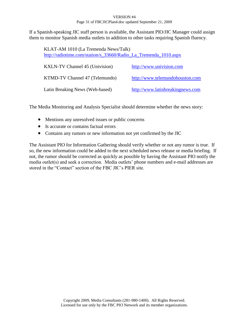#### VERSION #4 Page 31 of FBCJICPlan4.doc updated September 21, 2009

If a Spanish-speaking JIC staff person is available, the Assistant PIO/JIC Manager could assign them to monitor Spanish media outlets in addition to other tasks requiring Spanish fluency.

| KLAT-AM 1010 (La Tremenda News/Talk)<br>http://radiotime.com/station/s_33660/Radio_La_Tremenda_1010.aspx |                                  |  |  |  |
|----------------------------------------------------------------------------------------------------------|----------------------------------|--|--|--|
| <b>KXLN-TV Channel 45 (Univision)</b>                                                                    | http://www.univision.com         |  |  |  |
| KTMD-TV Channel 47 (Telemundo)                                                                           | http://www.telemundohouston.com  |  |  |  |
| Latin Breaking News (Web-based)                                                                          | http://www.latinbreakingnews.com |  |  |  |

The Media Monitoring and Analysis Specialist should determine whether the news story:

- Mentions any unresolved issues or public concerns
- Is accurate or contains factual errors
- Contains any rumors or new information not yet confirmed by the JIC

The Assistant PIO for Information Gathering should verify whether or not any rumor is true. If so, the new information could be added to the next scheduled news release or media briefing. If not, the rumor should be corrected as quickly as possible by having the Assistant PIO notify the media outlet(s) and seek a correction. Media outlets' phone numbers and e-mail addresses are stored in the "Contact" section of the FBC JIC's PIER site.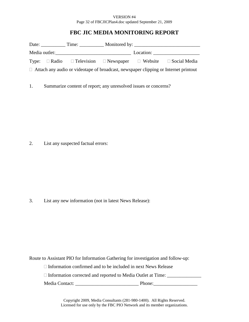#### VERSION #4 Page 32 of FBCJICPlan4.doc updated September 21, 2009

## **FBC JIC MEDIA MONITORING REPORT**

|                                                                                            |  | Media outlet: |  | Location: |                                                                                          |
|--------------------------------------------------------------------------------------------|--|---------------|--|-----------|------------------------------------------------------------------------------------------|
|                                                                                            |  |               |  |           | Type: $\Box$ Radio $\Box$ Television $\Box$ Newspaper $\Box$ Website $\Box$ Social Media |
| $\Box$ Attach any audio or videotape of broadcast, newspaper clipping or Internet printout |  |               |  |           |                                                                                          |

1. Summarize content of report; any unresolved issues or concerns?

2. List any suspected factual errors:

3. List any new information (not in latest News Release):

Route to Assistant PIO for Information Gathering for investigation and follow-up:

 $\Box$  Information confirmed and to be included in next News Release

□ Information corrected and reported to Media Outlet at Time: \_\_\_\_\_\_\_\_\_\_\_\_\_\_\_\_\_\_

Media Contact: \_\_\_\_\_\_\_\_\_\_\_\_\_\_\_\_\_\_\_\_\_\_\_\_\_\_ Phone:\_\_\_\_\_\_\_\_\_\_\_\_\_\_\_\_\_\_

Copyright 2009, Media Consultants (281-980-1400). All Rights Reserved. Licensed for use only by the FBC PIO Network and its member organizations.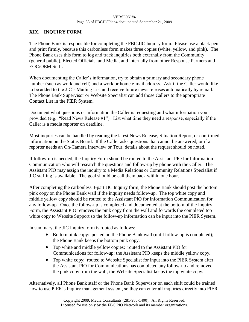#### VERSION #4 Page 33 of FBCJICPlan4.doc updated September 21, 2009

## **XIX. INQUIRY FORM**

The Phone Bank is responsible for completing the FBC JIC Inquiry form. Please use a black pen and print firmly, because this carbonless form makes three copies (white, yellow, and pink). The Phone Bank uses this form to log and track inquiries both externally from the Community (general public), Elected Officials, and Media, and internally from other Response Partners and EOC/OEM Staff.

When documenting the Caller's information, try to obtain a primary and secondary phone number (such as work and cell) and a work or home e-mail address. Ask if the Caller would like to be added to the JIC's Mailing List and receive future news releases automatically by e-mail. The Phone Bank Supervisor or Website Specialist can add those Callers to the appropriate Contact List in the PIER System.

Document what questions or information the Caller is requesting and what information you provided (e.g., "Read News Release #1"). List what time they need a response, especially if the Caller is a media reporter on deadline.

Most inquiries can be handled by reading the latest News Release, Situation Report, or confirmed information on the Status Board. If the Caller asks questions that cannot be answered, or if a reporter needs an On-Camera Interview or Tour, details about the request should be noted.

If follow-up is needed, the Inquiry Form should be routed to the Assistant PIO for Information Communication who will research the questions and follow-up by phone with the Caller. The Assistant PIO may assign the inquiry to a Media Relations or Community Relations Specialist if JIC staffing is available. The goal should be call them back within one hour.

After completing the carbonless 3-part JIC Inquiry form, the Phone Bank should post the bottom pink copy on the Phone Bank wall if the inquiry needs follow-up. The top white copy and middle yellow copy should be routed to the Assistant PIO for Information Communication for any follow-up. Once the follow-up is completed and documented at the bottom of the Inquiry Form, the Assistant PIO removes the pink copy from the wall and forwards the completed top white copy to Website Support so the follow-up information can be input into the PIER System.

In summary, the JIC Inquiry form is routed as follows:

- Bottom pink copy: posted on the Phone Bank wall (until follow-up is completed); the Phone Bank keeps the bottom pink copy.
- Top white and middle yellow copies: routed to the Assistant PIO for Communications for follow-up; the Assistant PIO keeps the middle yellow copy.
- Top white copy: routed to Website Specialist for input into the PIER System after the Assistant PIO for Communications has completed any follow-up and removed the pink copy from the wall; the Website Specialist keeps the top white copy.

Alternatively, all Phone Bank staff or the Phone Bank Supervisor on each shift could be trained how to use PIER's Inquiry management system, so they can enter all inquiries directly into PIER.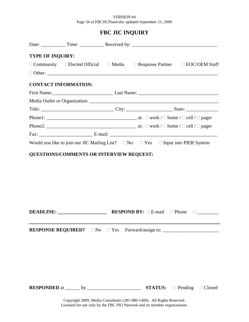#### VERSION #4 Page 34 of FBCJICPlan4.doc updated September 21, 2009

## **FBC JIC INQUIRY**

| <b>TYPE OF INQUIRY:</b> |                             |                                                                                                          |                                                                                                    |
|-------------------------|-----------------------------|----------------------------------------------------------------------------------------------------------|----------------------------------------------------------------------------------------------------|
|                         |                             |                                                                                                          | $\Box$ Community $\Box$ Elected Official $\Box$ Media $\Box$ Response Partner $\Box$ EOC/OEM Staff |
|                         |                             |                                                                                                          |                                                                                                    |
|                         | <b>CONTACT INFORMATION:</b> |                                                                                                          |                                                                                                    |
|                         |                             |                                                                                                          |                                                                                                    |
|                         |                             |                                                                                                          |                                                                                                    |
|                         |                             |                                                                                                          |                                                                                                    |
|                         |                             |                                                                                                          |                                                                                                    |
|                         |                             |                                                                                                          |                                                                                                    |
|                         |                             |                                                                                                          |                                                                                                    |
|                         |                             | Would you like to join our JIC Mailing List? $\square$ No $\square$ Yes $\square$ Input into PIER System |                                                                                                    |
|                         |                             |                                                                                                          |                                                                                                    |
|                         |                             |                                                                                                          |                                                                                                    |
|                         |                             |                                                                                                          | <b>STATUS: Dending D</b> Closed                                                                    |

Copyright 2009, Media Consultants (281-980-1400). All Rights Reserved. Licensed for use only by the FBC PIO Network and its member organizations.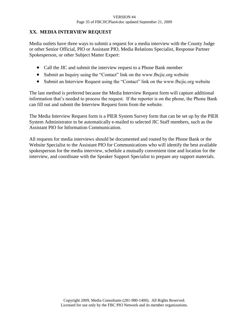#### VERSION #4 Page 35 of FBCJICPlan4.doc updated September 21, 2009

## **XX. MEDIA INTERVIEW REQUEST**

Media outlets have three ways to submit a request for a media interview with the County Judge or other Senior Official, PIO or Assistant PIO, Media Relations Specialist, Response Partner Spokesperson, or other Subject Matter Expert:

- Call the JIC and submit the interview request to a Phone Bank member
- Submit an Inquiry using the "Contact" link on the www.fbcjic.org website
- Submit an Interview Request using the "Contact" link on the www.fbcjic.org website

The last method is preferred because the Media Interview Request form will capture additional information that's needed to process the request. If the reporter is on the phone, the Phone Bank can fill out and submit the Interview Request form from the website.

The Media Interview Request form is a PIER System Survey form that can be set up by the PIER System Administrator to be automatically e-mailed to selected JIC Staff members, such as the Assistant PIO for Information Communication.

All requests for media interviews should be documented and routed by the Phone Bank or the Website Specialist to the Assistant PIO for Communications who will identify the best available spokesperson for the media interview, schedule a mutually convenient time and location for the interview, and coordinate with the Speaker Support Specialist to prepare any support materials.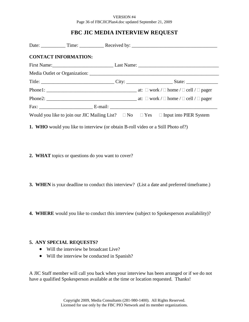#### VERSION #4 Page 36 of FBCJICPlan4.doc updated September 21, 2009

## **FBC JIC MEDIA INTERVIEW REQUEST**

|                                                                                  | <b>CONTACT INFORMATION:</b> |  |  |                                                                                                          |
|----------------------------------------------------------------------------------|-----------------------------|--|--|----------------------------------------------------------------------------------------------------------|
|                                                                                  |                             |  |  |                                                                                                          |
|                                                                                  |                             |  |  |                                                                                                          |
|                                                                                  |                             |  |  |                                                                                                          |
|                                                                                  |                             |  |  |                                                                                                          |
|                                                                                  |                             |  |  |                                                                                                          |
|                                                                                  |                             |  |  |                                                                                                          |
|                                                                                  |                             |  |  | Would you like to join our JIC Mailing List? $\square$ No $\square$ Yes $\square$ Input into PIER System |
| 1. WHO would you like to interview (or obtain B-roll video or a Still Photo of?) |                             |  |  |                                                                                                          |

- **2. WHAT** topics or questions do you want to cover?
- **3. WHEN** is your deadline to conduct this interview? (List a date and preferred timeframe.)

**4. WHERE** would you like to conduct this interview (subject to Spokesperson availability)?

#### **5. ANY SPECIAL REQUESTS?**

- Will the interview be broadcast Live?
- Will the interview be conducted in Spanish?

A JIC Staff member will call you back when your interview has been arranged or if we do not have a qualified Spokesperson available at the time or location requested. Thanks!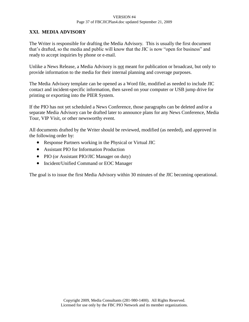#### VERSION #4 Page 37 of FBCJICPlan4.doc updated September 21, 2009

## **XXI. MEDIA ADVISORY**

The Writer is responsible for drafting the Media Advisory. This is usually the first document that's drafted, so the media and public will know that the JIC is now "open for business" and ready to accept inquiries by phone or e-mail.

Unlike a News Release, a Media Advisory is not meant for publication or broadcast, but only to provide information to the media for their internal planning and coverage purposes.

The Media Advisory template can be opened as a Word file, modified as needed to include JIC contact and incident-specific information, then saved on your computer or USB jump drive for printing or exporting into the PIER System.

If the PIO has not yet scheduled a News Conference, those paragraphs can be deleted and/or a separate Media Advisory can be drafted later to announce plans for any News Conference, Media Tour, VIP Visit, or other newsworthy event.

All documents drafted by the Writer should be reviewed, modified (as needed), and approved in the following order by:

- Response Partners working in the Physical or Virtual JIC
- Assistant PIO for Information Production
- PIO (or Assistant PIO/JIC Manager on duty)
- Incident/Unified Command or EOC Manager

The goal is to issue the first Media Advisory within 30 minutes of the JIC becoming operational.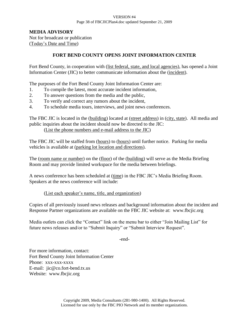#### VERSION #4 Page 38 of FBCJICPlan4.doc updated September 21, 2009

#### **MEDIA ADVISORY**

Not for broadcast or publication (Today's Date and Time)

## **FORT BEND COUNTY OPENS JOINT INFORMATION CENTER**

Fort Bend County, in cooperation with (list federal, state, and local agencies), has opened a Joint Information Center (JIC) to better communicate information about the (incident).

The purposes of the Fort Bend County Joint Information Center are:

- 1. To compile the latest, most accurate incident information,
- 2. To answer questions from the media and the public,
- 3. To verify and correct any rumors about the incident,
- 4. To schedule media tours, interviews, and joint news conferences.

The FBC JIC is located in the (building) located at (street address) in (city, state). All media and public inquiries about the incident should now be directed to the JIC:

(List the phone numbers and e-mail address to the JIC)

The FBC JIC will be staffed from (hours) to (hours) until further notice. Parking for media vehicles is available at (parking lot location and directions).

The (room name or number) on the (floor) of the (building) will serve as the Media Briefing Room and may provide limited workspace for the media between briefings.

A news conference has been scheduled at (time) in the FBC JIC's Media Briefing Room. Speakers at the news conference will include:

#### (List each speaker's name, title, and organization)

Copies of all previously issued news releases and background information about the incident and Response Partner organizations are available on the FBC JIC website at: www.fbcjic.org

Media outlets can click the "Contact" link on the menu bar to either "Join Mailing List" for future news releases and/or to "Submit Inquiry" or "Submit Interview Request".

-end-

For more information, contact: Fort Bend County Joint Information Center Phone: xxx-xxx-xxxx E-mail: jic@co.fort-bend.tx.us Website: www.fbcjic.org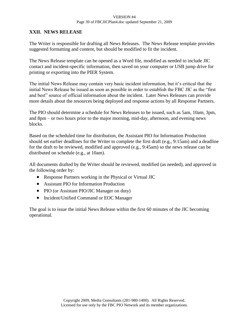#### VERSION #4 Page 39 of FBCJICPlan4.doc updated September 21, 2009

#### **XXII. NEWS RELEASE**

The Writer is responsible for drafting all News Releases. The News Release template provides suggested formatting and content, but should be modified to fit the incident.

The News Release template can be opened as a Word file, modified as needed to include JIC contact and incident-specific information, then saved on your computer or USB jump drive for printing or exporting into the PIER System.

The initial News Release may contain very basic incident information, but it's critical that the initial News Release be issued as soon as possible in order to establish the FBC JIC as the "first and best" source of official information about the incident. Later News Releases can provide more details about the resources being deployed and response actions by all Response Partners.

The PIO should determine a schedule for News Releases to be issued, such as 5am, 10am, 3pm, and 8pm – or two hours prior to the major morning, mid-day, afternoon, and evening news blocks.

Based on the scheduled time for distribution, the Assistant PIO for Information Production should set earlier deadlines for the Writer to complete the first draft (e.g., 9:15am) and a deadline for the draft to be reviewed, modified and approved (e.g., 9:45am) so the news release can be distributed on schedule (e.g., at 10am).

All documents drafted by the Writer should be reviewed, modified (as needed), and approved in the following order by:

- Response Partners working in the Physical or Virtual JIC
- Assistant PIO for Information Production
- PIO (or Assistant PIO/JIC Manager on duty)
- Incident/Unified Command or EOC Manager

The goal is to issue the initial News Release within the first 60 minutes of the JIC becoming operational.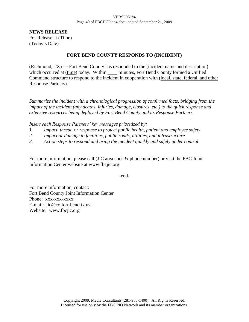#### VERSION #4 Page 40 of FBCJICPlan4.doc updated September 21, 2009

**NEWS RELEASE**

For Release at (Time) (Today's Date)

## **FORT BEND COUNTY RESPONDS TO (INCIDENT)**

(Richmond, TX) --- Fort Bend County has responded to the (incident name and description) which occurred at (time) today. Within \_\_\_\_ minutes, Fort Bend County formed a Unified Command structure to respond to the incident in cooperation with (local, state, federal, and other Response Partners).

*Summarize the incident with a chronological progression of confirmed facts, bridging from the impact of the incident (any deaths, injuries, damage, closures, etc.) to the quick response and extensive resources being deployed by Fort Bend County and its Response Partners.* 

*Insert each Response Partners' key messages prioritized by:*

- *1. Impact, threat, or response to protect public health, patient and employee safety*
- *2. Impact or damage to facilities, public roads, utilities, and infrastructure*
- *3. Action steps to respond and bring the incident quickly and safely under control*

For more information, please call  $($  JIC area code  $&$  phone number) or visit the FBC Joint Information Center website at www.fbcjic.org

-end-

For more information, contact: Fort Bend County Joint Information Center Phone: xxx-xxx-xxxx E-mail: jic@co.fort-bend.tx.us Website: www.fbcjic.org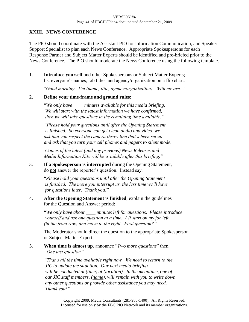## **XXIII. NEWS CONFERENCE**

The PIO should coordinate with the Assistant PIO for Information Communication, and Speaker Support Specialist to plan each News Conference. Appropriate Spokespersons for each Response Partner and Subject Matter Experts should be identified and pre-briefed prior to the News Conference. The PIO should moderate the News Conference using the following template.

1. **Introduce yourself** and other Spokespersons or Subject Matter Experts; list everyone's names, job titles, and agency/organization on a flip chart.

"*Good morning. I'm (name, title, agency/organization). With me are…*"

## **2. Define your time-frame and ground rules**:

"*We only have \_\_\_\_ minutes available for this media briefing. We will start with the latest information we have confirmed, then we will take questions in the remaining time available."*

*"Please hold your questions until after the Opening Statement is finished. So everyone can get clean audio and video, we ask that you respect the camera throw line that's been set up and ask that you turn your cell phones and pagers to silent mode.*

*Copies of the latest (and any previous) News Releases and Media Information Kits will be available after this briefing."*

3. **If a Spokesperson is interrupted** during the Opening Statement, do not answer the reporter's question. Instead say:

> "*Please hold your questions until after the Opening Statement is finished. The more you interrupt us, the less time we'll have for questions later. Thank you!*"

4. **After the Opening Statement is finished**, explain the guidelines for the Question and Answer period:

> "*We only have about \_\_\_\_ minutes left for questions. Please introduce yourself and ask one question at a time. I'll start on my far left (in the front row) and move to the right. First question?"*

The Moderator should direct the question to the appropriate Spokesperson or Subject Matter Expert.

5. **When time is almost up**, announce "*Two more questions*" then *"One last question".*

> *"That's all the time available right now. We need to return to the JIC to update the situation. Our next media briefing will be conducted at (time) at (location). In the meantime, one of our JIC staff members, (name), will remain with you to write down any other questions or provide other assistance you may need. Thank you!"*

> > Copyright 2009, Media Consultants (281-980-1400). All Rights Reserved. Licensed for use only by the FBC PIO Network and its member organizations.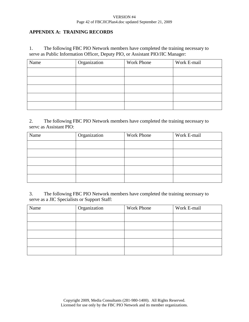#### VERSION #4 Page 42 of FBCJICPlan4.doc updated September 21, 2009

## **APPENDIX A: TRAINING RECORDS**

1. The following FBC PIO Network members have completed the training necessary to serve as Public Information Officer, Deputy PIO, or Assistant PIO/JIC Manager:

| Name | Organization | <b>Work Phone</b> | Work E-mail |
|------|--------------|-------------------|-------------|
|      |              |                   |             |
|      |              |                   |             |
|      |              |                   |             |
|      |              |                   |             |
|      |              |                   |             |

2. The following FBC PIO Network members have completed the training necessary to servc as Assistant PIO:

| Name | Organization | <b>Work Phone</b> | Work E-mail |
|------|--------------|-------------------|-------------|
|      |              |                   |             |
|      |              |                   |             |
|      |              |                   |             |
|      |              |                   |             |
|      |              |                   |             |

3. The following FBC PIO Network members have completed the training necessary to serve as a JIC Specialists or Support Staff:

| Name | Organization | Work Phone | Work E-mail |
|------|--------------|------------|-------------|
|      |              |            |             |
|      |              |            |             |
|      |              |            |             |
|      |              |            |             |
|      |              |            |             |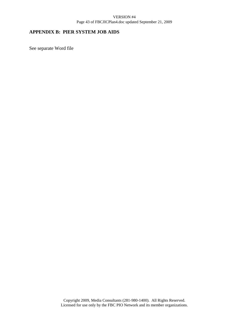#### VERSION #4 Page 43 of FBCJICPlan4.doc updated September 21, 2009

## **APPENDIX B: PIER SYSTEM JOB AIDS**

See separate Word file

Copyright 2009, Media Consultants (281-980-1400). All Rights Reserved. Licensed for use only by the FBC PIO Network and its member organizations.